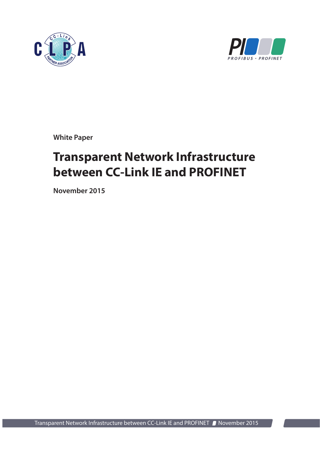



**White Paper**

# **Transparent Network Infrastructure between CC-Link IE and PROFINET**

**November 2015**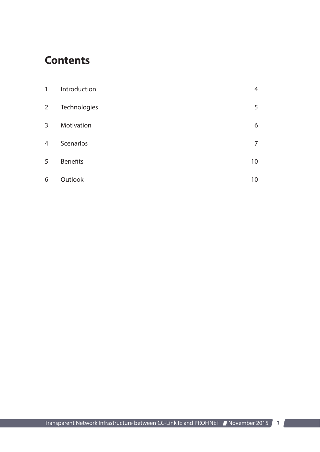### **Contents**

| 1              | Introduction    | 4  |
|----------------|-----------------|----|
| $\overline{2}$ | Technologies    | 5  |
| 3              | Motivation      | 6  |
| 4              | Scenarios       | 7  |
| 5              | <b>Benefits</b> | 10 |
| 6              | Outlook         | 10 |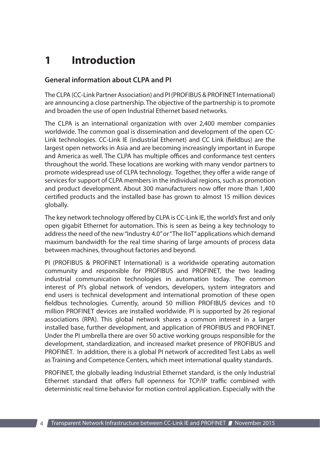## **1 Introduction**

#### **General information about CLPA and PI**

The CLPA (CC-Link Partner Association) and PI (PROFIBUS & PROFINET International) are announcing a close partnership. The objective of the partnership is to promote and broaden the use of open Industrial Ethernet based networks.

The CLPA is an international organization with over 2,400 member companies worldwide. The common goal is dissemination and development of the open CC-Link technologies. CC-Link IE (industrial Ethernet) and CC Link (fieldbus) are the largest open networks in Asia and are becoming increasingly important in Europe and America as well. The CLPA has multiple offices and conformance test centers throughout the world. These locations are working with many vendor partners to promote widespread use of CLPA technology. Together, they offer a wide range of services for support of CLPA members in the individual regions, such as promotion and product development. About 300 manufacturers now offer more than 1,400 certified products and the installed base has grown to almost 15 million devices globally.

The key network technology offered by CLPA is CC-Link IE, the world's first and only open gigabit Ethernet for automation. This is seen as being a key technology to address the need of the new "Industry 4.0" or "The IIoT" applications which demand maximum bandwidth for the real time sharing of large amounts of process data between machines, throughout factories and beyond.

PI (PROFIBUS & PROFINET International) is a worldwide operating automation community and responsible for PROFIBUS and PROFINET, the two leading industrial communication technologies in automation today. The common interest of PI's global network of vendors, developers, system integrators and end users is technical development and international promotion of these open fieldbus technologies. Currently, around 50 million PROFIBUS devices and 10 million PROFINET devices are installed worldwide. PI is supported by 26 regional associations (RPA). This global network shares a common interest in a larger installed base, further development, and application of PROFIBUS and PROFINET. Under the PI umbrella there are over 50 active working groups responsible for the development, standardization, and increased market presence of PROFIBUS and PROFINET. In addition, there is a global PI network of accredited Test Labs as well as Training and Competence Centers, which meet international quality standards.

PROFINET, the globally leading Industrial Ethernet standard, is the only Industrial Ethernet standard that offers full openness for TCP/IP traffic combined with deterministic real time behavior for motion control application. Especially with the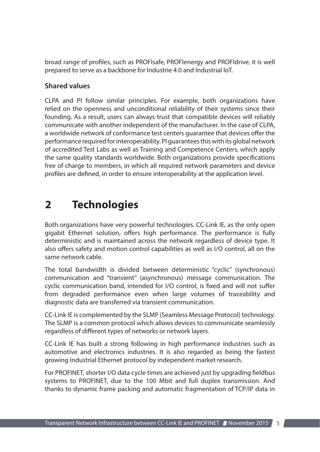broad range of profiles, such as PROFIsafe, PROFIenergy and PROFIdrive, it is well prepared to serve as a backbone for Industrie 4.0 and Industrial IoT.

#### **Shared values**

CLPA and PI follow similar principles. For example, both organizations have relied on the openness and unconditional reliability of their systems since their founding. As a result, users can always trust that compatible devices will reliably communicate with another independent of the manufacturer. In the case of CLPA, a worldwide network of conformance test centers guarantee that devices offer the performance required for interoperability. PI guarantees this with its global network of accredited Test Labs as well as Training and Competence Centers, which apply the same quality standards worldwide. Both organizations provide specifications free of charge to members, in which all required network parameters and device profiles are defined, in order to ensure interoperability at the application level.

### **2 Technologies**

Both organizations have very powerful technologies. CC-Link IE, as the only open gigabit Ethernet solution, offers high performance. The performance is fully deterministic and is maintained across the network regardless of device type. It also offers safety and motion control capabilities as well as I/O control, all on the same network cable.

The total bandwidth is divided between deterministic "cyclic" (synchronous) communication and "transient" (asynchronous) message communication. The cyclic communication band, intended for I/O control, is fixed and will not suffer from degraded performance even when large volumes of traceability and diagnostic data are transferred via transient communication.

CC-Link IE is complemented by the SLMP (Seamless Message Protocol) technology. The SLMP is a common protocol which allows devices to communicate seamlessly regardless of different types of networks or network layers.

CC-Link IE has built a strong following in high performance industries such as automotive and electronics industries. It is also regarded as being the fastest growing Industrial Ethernet protocol by independent market research.

For PROFINET, shorter I/O data cycle times are achieved just by upgrading fieldbus systems to PROFINET, due to the 100 Mbit and full duplex transmission. And thanks to dynamic frame packing and automatic fragmentation of TCP/IP data in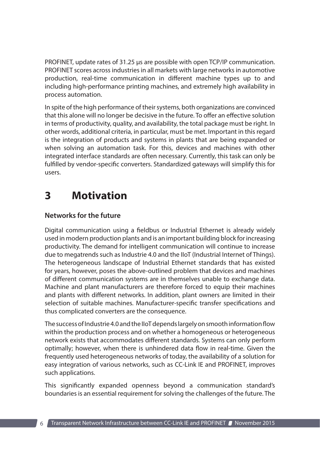PROFINET, update rates of 31.25 µs are possible with open TCP/IP communication. PROFINET scores across industries in all markets with large networks in automotive production, real-time communication in different machine types up to and including high-performance printing machines, and extremely high availability in process automation.

In spite of the high performance of their systems, both organizations are convinced that this alone will no longer be decisive in the future. To offer an effective solution in terms of productivity, quality, and availability, the total package must be right. In other words, additional criteria, in particular, must be met. Important in this regard is the integration of products and systems in plants that are being expanded or when solving an automation task. For this, devices and machines with other integrated interface standards are often necessary. Currently, this task can only be fulfilled by vendor-specific converters. Standardized gateways will simplify this for users.

### **3 Motivation**

### **Networks for the future**

Digital communication using a fieldbus or Industrial Ethernet is already widely used in modern production plants and is an important building block for increasing productivity. The demand for intelligent communication will continue to increase due to megatrends such as Industrie 4.0 and the IIoT (Industrial Internet of Things). The heterogeneous landscape of Industrial Ethernet standards that has existed for years, however, poses the above-outlined problem that devices and machines of different communication systems are in themselves unable to exchange data. Machine and plant manufacturers are therefore forced to equip their machines and plants with different networks. In addition, plant owners are limited in their selection of suitable machines. Manufacturer-specific transfer specifications and thus complicated converters are the consequence.

The success of Industrie 4.0 and the IIoT depends largely on smooth information flow within the production process and on whether a homogeneous or heterogeneous network exists that accommodates different standards. Systems can only perform optimally; however, when there is unhindered data flow in real-time. Given the frequently used heterogeneous networks of today, the availability of a solution for easy integration of various networks, such as CC-Link IE and PROFINET, improves such applications.

This significantly expanded openness beyond a communication standard's boundaries is an essential requirement for solving the challenges of the future. The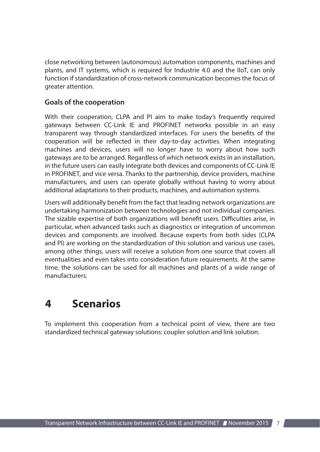close networking between (autonomous) automation components, machines and plants, and IT systems, which is required for Industrie 4.0 and the IIoT, can only function if standardization of cross-network communication becomes the focus of greater attention.

#### **Goals of the cooperation**

With their cooperation, CLPA and PI aim to make today's frequently required gateways between CC-Link IE and PROFINET networks possible in an easy transparent way through standardized interfaces. For users the benefits of the cooperation will be reflected in their day-to-day activities. When integrating machines and devices, users will no longer have to worry about how such gateways are to be arranged. Regardless of which network exists in an installation, in the future users can easily integrate both devices and components of CC-Link IE in PROFINET, and vice versa. Thanks to the partnership, device providers, machine manufacturers, and users can operate globally without having to worry about additional adaptations to their products, machines, and automation systems.

Users will additionally benefit from the fact that leading network organizations are undertaking harmonization between technologies and not individual companies. The sizable expertise of both organizations will benefit users. Difficulties arise, in particular, when advanced tasks such as diagnostics or integration of uncommon devices and components are involved. Because experts from both sides (CLPA and PI) are working on the standardization of this solution and various use cases, among other things, users will receive a solution from one source that covers all eventualities and even takes into consideration future requirements. At the same time, the solutions can be used for all machines and plants of a wide range of manufacturers.

### **4 Scenarios**

To implement this cooperation from a technical point of view, there are two standardized technical gateway solutions: coupler solution and link solution.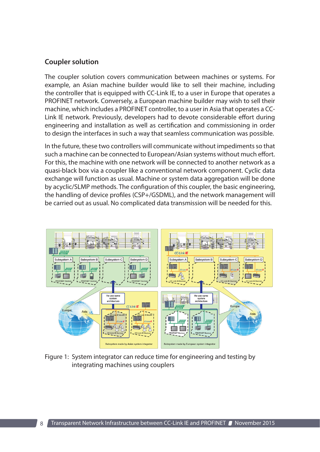#### **Coupler solution**

The coupler solution covers communication between machines or systems. For example, an Asian machine builder would like to sell their machine, including the controller that is equipped with CC-Link IE, to a user in Europe that operates a PROFINET network. Conversely, a European machine builder may wish to sell their machine, which includes a PROFINET controller, to a user in Asia that operates a CC-Link IE network. Previously, developers had to devote considerable effort during engineering and installation as well as certification and commissioning in order to design the interfaces in such a way that seamless communication was possible.

In the future, these two controllers will communicate without impediments so that such a machine can be connected to European/Asian systems without much effort. For this, the machine with one network will be connected to another network as a quasi-black box via a coupler like a conventional network component. Cyclic data exchange will function as usual. Machine or system data aggregation will be done by acyclic/SLMP methods. The configuration of this coupler, the basic engineering, the handling of device profiles (CSP+/GSDML), and the network management will be carried out as usual. No complicated data transmission will be needed for this.



Figure 1: System integrator can reduce time for engineering and testing by integrating machines using couplers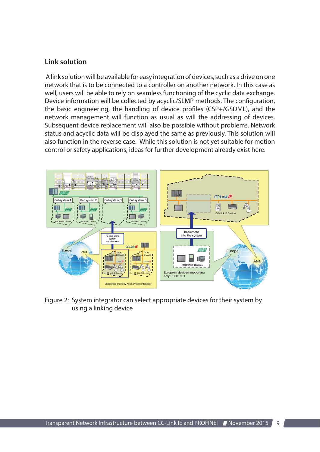#### **Link solution**

 A link solution will be available for easy integration of devices, such as a drive on one network that is to be connected to a controller on another network. In this case as well, users will be able to rely on seamless functioning of the cyclic data exchange. Device information will be collected by acyclic/SLMP methods. The configuration, the basic engineering, the handling of device profiles (CSP+/GSDML), and the network management will function as usual as will the addressing of devices. Subsequent device replacement will also be possible without problems. Network status and acyclic data will be displayed the same as previously. This solution will also function in the reverse case. While this solution is not yet suitable for motion control or safety applications, ideas for further development already exist here.



Figure 2: System integrator can select appropriate devices for their system by using a linking device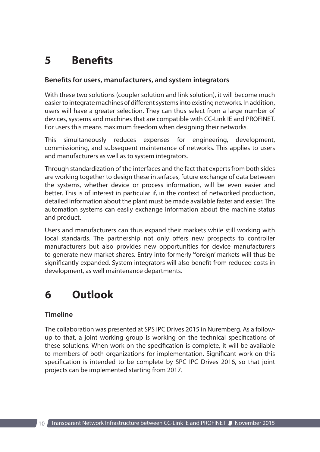## **5 Benefits**

#### **Benefits for users, manufacturers, and system integrators**

With these two solutions (coupler solution and link solution), it will become much easier to integrate machines of different systems into existing networks. In addition, users will have a greater selection. They can thus select from a large number of devices, systems and machines that are compatible with CC-Link IE and PROFINET. For users this means maximum freedom when designing their networks.

This simultaneously reduces expenses for engineering, development, commissioning, and subsequent maintenance of networks. This applies to users and manufacturers as well as to system integrators.

Through standardization of the interfaces and the fact that experts from both sides are working together to design these interfaces, future exchange of data between the systems, whether device or process information, will be even easier and better. This is of interest in particular if, in the context of networked production, detailed information about the plant must be made available faster and easier. The automation systems can easily exchange information about the machine status and product.

Users and manufacturers can thus expand their markets while still working with local standards. The partnership not only offers new prospects to controller manufacturers but also provides new opportunities for device manufacturers to generate new market shares. Entry into formerly 'foreign' markets will thus be significantly expanded. System integrators will also benefit from reduced costs in development, as well maintenance departments.

### **6 Outlook**

#### **Timeline**

The collaboration was presented at SPS IPC Drives 2015 in Nuremberg. As a followup to that, a joint working group is working on the technical specifications of these solutions. When work on the specification is complete, it will be available to members of both organizations for implementation. Significant work on this specification is intended to be complete by SPC IPC Drives 2016, so that joint projects can be implemented starting from 2017.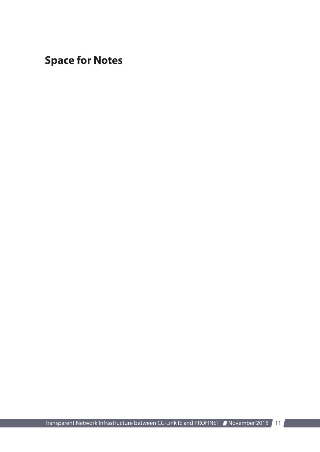**Space for Notes**